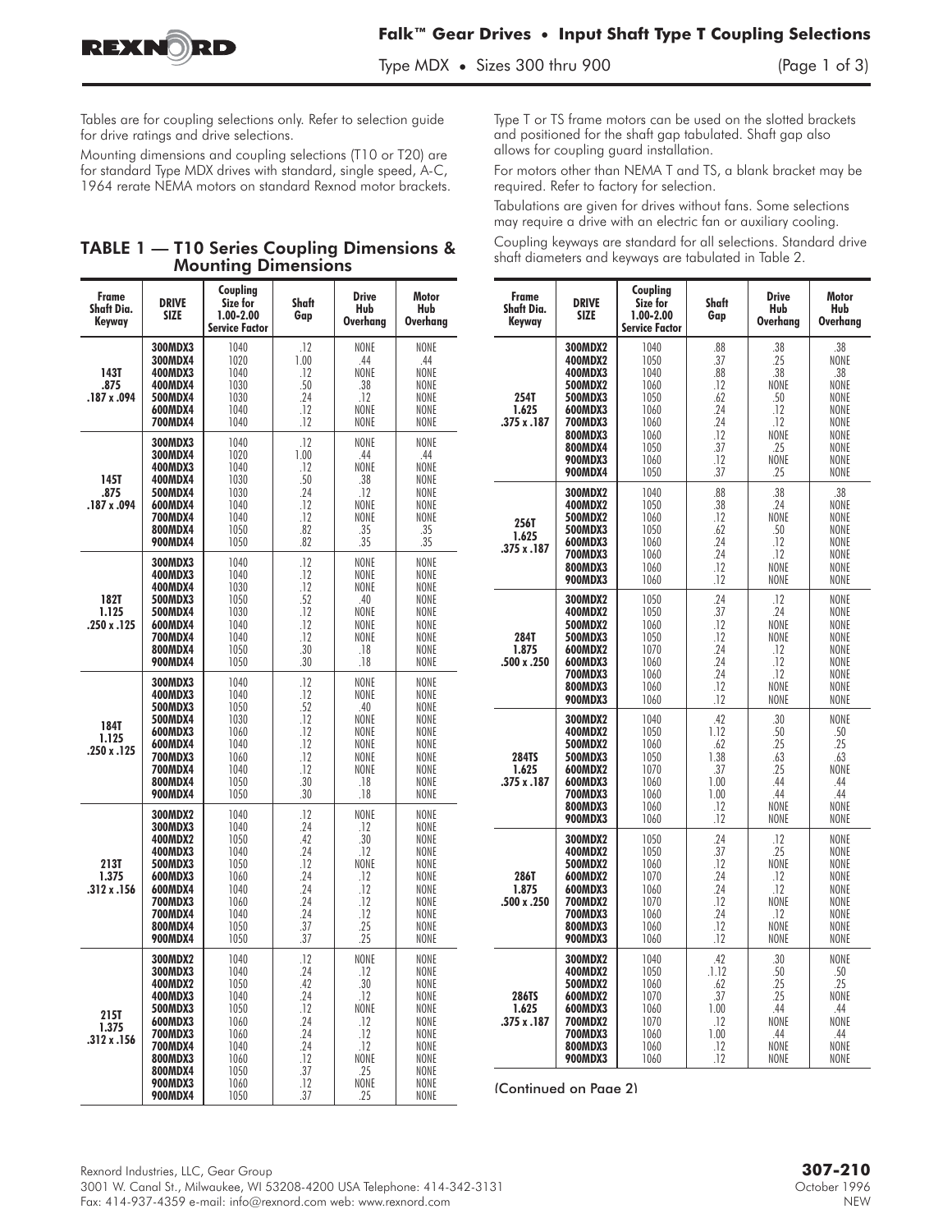

Tables are for coupling selections only. Refer to selection guide for drive ratings and drive selections.

Mounting dimensions and coupling selections (T10 or T20) are for standard Type MDX drives with standard, single speed, A-C, 1964 rerate NEMA motors on standard Rexnod motor brackets.

## TABLE 1 — T10 Series Coupling Dimensions & Mounting Dimensions

| Frame<br>Shaft Dia.<br>Keyway       | <b>DRIVE</b><br><b>SIZE</b>                                                                                                                                  | Coupling<br>Size for<br>1.00-2.00<br><b>Service Factor</b>                                   | Shaft<br>Gap                                                                     | <b>Drive</b><br>Hub<br>Overhang                                                      | <b>Motor</b><br>Hub<br><b>Overhang</b>                                                                                  |  |  |
|-------------------------------------|--------------------------------------------------------------------------------------------------------------------------------------------------------------|----------------------------------------------------------------------------------------------|----------------------------------------------------------------------------------|--------------------------------------------------------------------------------------|-------------------------------------------------------------------------------------------------------------------------|--|--|
| 143T<br>.875<br>.187 x .094         | 300MDX3<br>300MDX4<br>400MDX3<br>400MDX4<br>500MDX4<br>600MDX4<br>700MDX4                                                                                    | 1040<br>1020<br>1040<br>1030<br>1030<br>1040<br>1040                                         | .12<br>1.00<br>.12<br>.50<br>.24<br>.12<br>.12                                   | NONE<br>.44<br>NONE<br>.38<br>.12<br>NONE<br>NONE                                    | NONE<br>.44<br>NONE<br>NONE<br>NONE<br><b>NONE</b><br>NONE                                                              |  |  |
| 145T<br>.875<br>.187 x .094         | 300MDX3<br>300MDX4<br>400MDX3<br>400MDX4<br>500MDX4<br>600MDX4<br>700MDX4<br>800MDX4<br>900MDX4                                                              | 1040<br>1020<br>1040<br>1030<br>1030<br>1040<br>1040<br>1050<br>1050                         | .12<br>1.00<br>.12<br>.50<br>.24<br>.12<br>.12<br>.82<br>.82                     | NONE<br>.44<br>NONE<br>.38<br>.12<br>NONE<br>NONE<br>.35<br>.35                      | <b>NONE</b><br>.44<br>NONE<br>NONE<br>NONE<br>NONE<br>NONE<br>.35<br>.35                                                |  |  |
| 182T<br>1.125<br>.250 x .125        | 300MDX3<br>400MDX3<br>400MDX4<br>500MDX3<br>500MDX4<br>600MDX4<br><b>700MDX4</b><br>800MDX4<br>900MDX4                                                       | 1040<br>1040<br>1030<br>1050<br>1030<br>1040<br>1040<br>1050<br>1050                         | .12<br>.12<br>.12<br>.52<br>.12<br>.12<br>.12<br>.30<br>.30                      | NONE<br>NONE<br>NONE<br>.40<br>NONE<br>NONE<br>NONE<br>.18<br>.18                    | NONE<br>NONE<br><b>NONE</b><br>NONE<br>NONE<br><b>NONE</b><br>NONE<br>NONE<br>NONE                                      |  |  |
| 184T<br>1.125<br>.250 x .125        | 300MDX3<br>400MDX3<br>500MDX3<br>500MDX4<br>600MDX3<br>600MDX4<br><b>700MDX3</b><br>700MDX4<br>800MDX4<br>900MDX4                                            | 1040<br>1040<br>1050<br>1030<br>1060<br>1040<br>1060<br>1040<br>1050<br>1050                 | .12<br>.12<br>.52<br>.12<br>.12<br>.12<br>.12<br>.12<br>.30<br>.30               | NONE<br><b>NONF</b><br>.40<br>NONE<br>NONE<br>NONE<br>NONE<br>NONE<br>.18<br>.18     | NONE<br>NONE<br>NONE<br>NONE<br>NONE<br>NONE<br>NONE<br>NONE<br>NONE<br>NONE                                            |  |  |
| 213T<br>1.375<br>$.312 \times .156$ | 300MDX2<br><b>300MDX3</b><br>400MDX2<br>400MDX3<br>500MDX3<br>600MDX3<br>600MDX4<br>700MDX3<br>700MDX4<br>800MDX4<br>900MDX4                                 | 1040<br>1040<br>1050<br>1040<br>1050<br>1060<br>1040<br>1060<br>1040<br>1050<br>1050         | .12<br>.24<br>.42<br>.24<br>.12<br>24<br>.24<br>.24<br>.24<br>.37<br>.37         | NONE<br>.12<br>.30<br>.12<br>NONE<br>.12<br>.12<br>.12<br>.12<br>.25<br>.25          | NONE<br>NONE<br><b>NONE</b><br>NONE<br>NONE<br><b>NONE</b><br><b>NONE</b><br>NONE<br><b>NONE</b><br><b>NONE</b><br>NONE |  |  |
| 215T<br>1.375<br>.312 x .156        | 300MDX2<br><b>300MDX3</b><br>400MDX2<br>400MDX3<br>500MDX3<br>600MDX3<br><b>700MDX3</b><br><b>700MDX4</b><br>800MDX3<br>800MDX4<br><b>900MDX3</b><br>900MDX4 | 1040<br>1040<br>1050<br>1040<br>1050<br>1060<br>1060<br>1040<br>1060<br>1050<br>1060<br>1050 | .12<br>.24<br>.42<br>.24<br>.12<br>.24<br>.24<br>.24<br>.12<br>.37<br>.12<br>.37 | NONE<br>.12<br>.30<br>.12<br>NONE<br>.12<br>.12<br>.12<br>NONE<br>.25<br>NONE<br>.25 | NONE<br>NONE<br>NONE<br>NONE<br>NONE<br>NONE<br>NONE<br>NONE<br>NONE<br>NONE<br>NONE<br>NONE                            |  |  |

Type T or TS frame motors can be used on the slotted brackets and positioned for the shaft gap tabulated. Shaft gap also allows for coupling guard installation.

For motors other than NEMA T and TS, a blank bracket may be required. Refer to factory for selection.

Tabulations are given for drives without fans. Some selections may require a drive with an electric fan or auxiliary cooling.

Coupling keyways are standard for all selections. Standard drive shaft diameters and keyways are tabulated in Table 2.

| Frame<br>Shaft Dia.<br>Keyway        | <b>DRIVE</b><br><b>SIZE</b>                                                                                                         | Coupling<br>Size for<br>1.00-2.00<br><b>Service Factor</b>                           | Shaft<br>Gap                                                            | <b>Drive</b><br>Hub<br><b>Overhang</b>                                      | Motor<br>Hub<br>Overhang                                                          |  |  |  |  |
|--------------------------------------|-------------------------------------------------------------------------------------------------------------------------------------|--------------------------------------------------------------------------------------|-------------------------------------------------------------------------|-----------------------------------------------------------------------------|-----------------------------------------------------------------------------------|--|--|--|--|
| 254T<br>1.625<br>.375 x .187         | 300MDX2<br>400MDX2<br>400MDX3<br>500MDX2<br>500MDX3<br>600MDX3<br><b>700MDX3</b><br>800MDX3<br>800MDX4<br><b>900MDX3</b><br>900MDX4 | 1040<br>1050<br>1040<br>1060<br>1050<br>1060<br>1060<br>1060<br>1050<br>1060<br>1050 | .88<br>.37<br>88<br>.12<br>.62<br>24<br>.24<br>.12<br>.37<br>.12<br>.37 | .38<br>.25<br>.38<br>NONE<br>.50<br>.12<br>.12<br>NONE<br>25<br>NONE<br>.25 | .38<br>NONE<br>38<br>NONE<br>NONE<br>NONE<br>NONE<br>NONE<br>NONE<br>NONE<br>NONE |  |  |  |  |
| 256T<br>1.625<br>.375 x .187         | 300MDX2<br>400MDX2<br>500MDX2<br>500MDX3<br>600MDX3<br><b>700MDX3</b><br>800MDX3<br><b>900MDX3</b>                                  | 1040<br>1050<br>1060<br>1050<br>1060<br>1060<br>1060<br>1060                         | .88<br>.38<br>.12<br>.62<br>.24<br>.24<br>.12<br>.12                    | .38<br>.24<br>NONE<br>.50<br>.12<br>.12<br>NONE<br>NONE                     | .38<br>NONE<br>NONE<br>NONE<br>NONE<br>NONE<br>NONE<br>NONE                       |  |  |  |  |
| 284T<br>1.875<br>.500 x .250         | 300MDX2<br>400MDX2<br>500MDX2<br>500MDX3<br>600MDX2<br>600MDX3<br><b>700MDX3</b><br>800MDX3<br><b>900MDX3</b>                       | 1050<br>1050<br>1060<br>1050<br>1070<br>1060<br>1060<br>1060<br>1060                 | .24<br>.37<br>.12<br>.12<br>.24<br>.24<br>.24<br>.12<br>.12             | .12<br>.24<br><b>NONF</b><br>NONE<br>.12<br>.12<br>.12<br>NONE<br>NONE      | NONE<br>NONE<br><b>NONF</b><br>NONE<br>NONE<br>NONE<br>NONE<br>NONE<br>NONE       |  |  |  |  |
| <b>284TS</b><br>1.625<br>.375 x .187 | 300MDX2<br>400MDX2<br>500MDX2<br>500MDX3<br>600MDX2<br>600MDX3<br><b>700MDX3</b><br>800MDX3<br><b>900MDX3</b>                       | 1040<br>1050<br>1060<br>1050<br>1070<br>1060<br>1060<br>1060<br>1060                 | .42<br>1.12<br>.62<br>1.38<br>.37<br>1.00<br>1.00<br>.12<br>.12         | .30<br>.50<br>.25<br>.63<br>.25<br>.44<br>.44<br>NONE<br>NONE               | NONE<br>.50<br>.25<br>.63<br>NONE<br>.44<br>.44<br>NONE<br>NONE                   |  |  |  |  |
| 286T<br>1.875<br>.500 x .250         | 300MDX2<br>400MDX2<br>500MDX2<br>600MDX2<br>600MDX3<br>700MDX2<br>700MDX3<br>800MDX3<br><b>900MDX3</b>                              | 1050<br>1050<br>1060<br>1070<br>1060<br>1070<br>1060<br>1060<br>1060                 | .24<br>.37<br>.12<br>24<br>.24<br>.12<br>.24<br>.12<br>.12              | .12<br>.25<br>NONE<br>.12<br>.12<br>NONE<br>.12<br>NONE<br>NONE             | NONE<br>NONE<br>NONE<br>NONE<br>NONE<br>NONE<br>NONE<br>NONE<br>NONE              |  |  |  |  |
| 286TS<br>1.625<br>.375 x .187        | 300MDX2<br>400MDX2<br>500MDX2<br>600MDX2<br>600MDX3<br><b>700MDX2</b><br>700MDX3<br>800MDX3<br><b>900MDX3</b>                       | 1040<br>1050<br>1060<br>1070<br>1060<br>1070<br>1060<br>1060<br>1060                 | .42<br>.1.12<br>.62<br>.37<br>1.00<br>.12<br>1.00<br>.12<br>.12         | .30<br>.50<br>25<br>.25<br>.44<br><b>NONE</b><br>.44<br>NONE<br>NONE        | <b>NONF</b><br>.50<br>.25<br>NONE<br>.44<br>NONE<br>.44<br>NONE<br>NONE           |  |  |  |  |

(Continued on Page 2)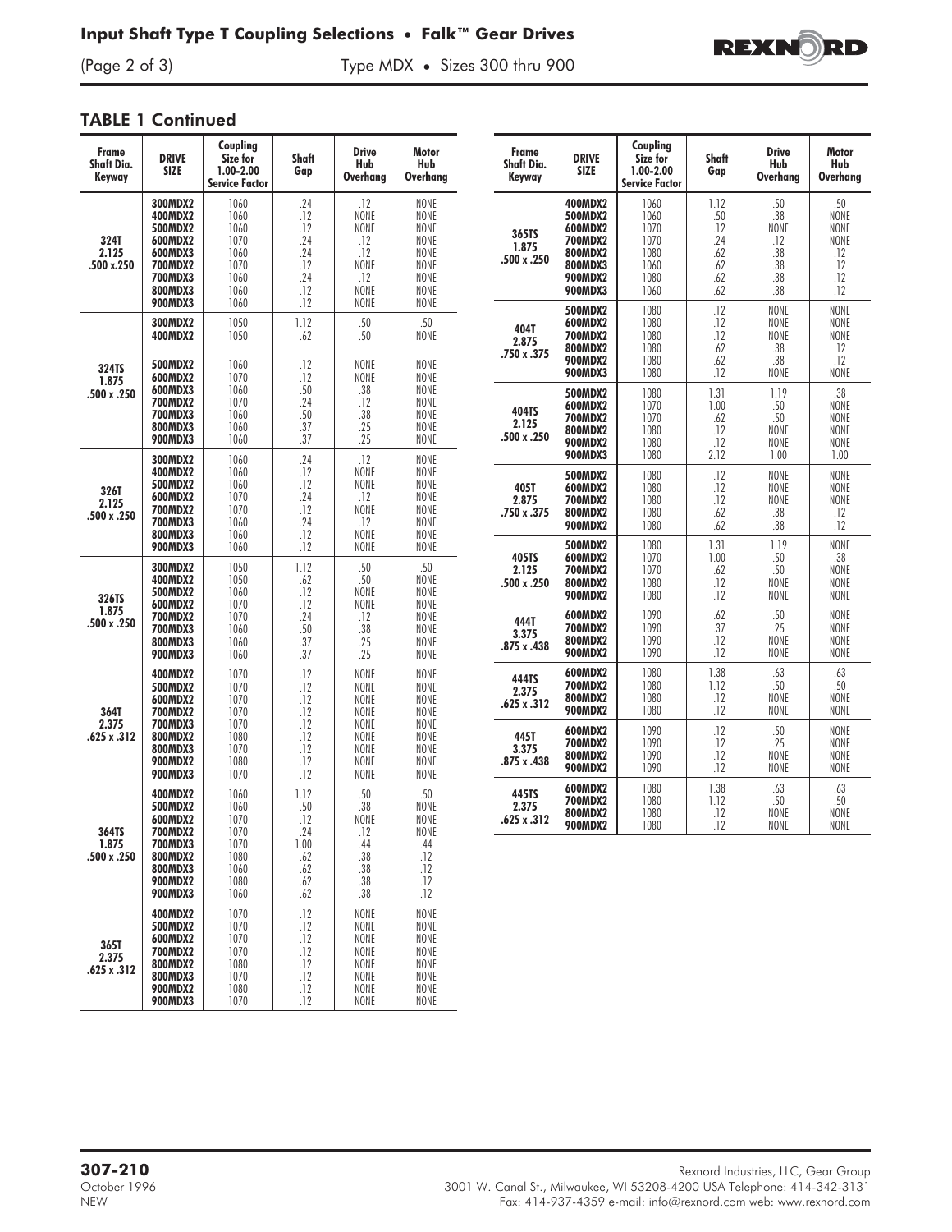Type MDX • Sizes 300 thru 900



## TABLE 1 Continued

| <b>Frame</b><br><b>Shaft Dia.</b><br>Keyway | <b>DRIVE</b><br><b>SIZE</b>                                                                                                                                                                                                                                                                                                                                                                                                                                    | Coupling<br>Size for<br>1.00-2.00<br><b>Service Factor</b>           | Shaft<br>Gap                                                  | <b>Drive</b><br>Hub<br><b>Overhang</b>                                  | Motor<br>Hub<br>Overhang                                             |
|---------------------------------------------|----------------------------------------------------------------------------------------------------------------------------------------------------------------------------------------------------------------------------------------------------------------------------------------------------------------------------------------------------------------------------------------------------------------------------------------------------------------|----------------------------------------------------------------------|---------------------------------------------------------------|-------------------------------------------------------------------------|----------------------------------------------------------------------|
| 324T<br>2.125<br>.500 x.250                 | 300MDX2<br>400MDX2<br>500MDX2<br>600MDX2<br>600MDX3<br>700MDX2<br>700MDX3<br>800MDX3<br><b>900MDX3</b>                                                                                                                                                                                                                                                                                                                                                         | 1060<br>1060<br>1060<br>1070<br>1060<br>1070<br>1060<br>1060<br>1060 | .24<br>.12<br>.12<br>.24<br>.24<br>.12<br>.24<br>.12<br>.12   | .12<br>NONE<br>NONE<br>.12<br>.12<br>NONE<br>.12<br><b>NONF</b><br>NONE | NONE<br>NONE<br>NONE<br>NONE<br>NONE<br>NONE<br>NONE<br>NONE<br>NONE |
| 324TS                                       | 300MDX2<br>400MDX2<br>500MDX2                                                                                                                                                                                                                                                                                                                                                                                                                                  | 1050<br>1050<br>1060<br>1070                                         | 1.12<br>.62<br>.12<br>.12                                     | 50<br>.50<br>NONE<br>NONE                                               | 50<br>NONE<br>NONE<br>NONE                                           |
| .500 x .250                                 | 600MDX2<br>1.875<br>600MDX3<br>700MDX2<br>700MDX3<br>800MDX3<br><b>900MDX3</b><br>300MDX2<br>400MDX2<br>500MDX2<br>600MDX2<br>700MDX2<br>700MDX3<br>800MDX3<br><b>900MDX3</b><br>300MDX2<br>400MDX2<br>500MDX2<br>600MDX2<br><b>700MDX2</b><br>700MDX3<br>800MDX3<br><b>900MDX3</b><br>400MDX2<br>500MDX2<br>600MDX2<br><b>700MDX2</b><br><b>700MDX3</b><br>800MDX2<br>800MDX3<br><b>900MDX2</b><br><b>900MDX3</b><br>400MDX2<br>500MDX2<br>600MDX2<br>700MDX2 | 1060<br>1070<br>1060<br>1060<br>1060                                 | .50<br>24<br>.50<br>.37<br>.37                                | .38<br>.12<br>.38<br>.25<br>.25                                         | NONE<br>NONE<br>NONE<br>NONE<br>NONE                                 |
| 326T<br>2.125<br>.500 x .250                |                                                                                                                                                                                                                                                                                                                                                                                                                                                                | 1060<br>1060<br>1060<br>1070<br>1070<br>1060<br>1060<br>1060         | .24<br>.12<br>.12<br>.24<br>.12<br>.24<br>.12<br>.12          | .12<br>NONE<br>NONE<br>.12<br>NONE<br>.12<br>NONE<br>NONE               | NONE<br>NONE<br>NONE<br>NONE<br>NONE<br>NONE<br>NONE<br>NONE         |
| 326TS<br>1.875<br>.500 x .250               |                                                                                                                                                                                                                                                                                                                                                                                                                                                                | 1050<br>1050<br>1060<br>1070<br>1070<br>1060<br>1060<br>1060         | 1.12<br>.62<br>.12<br>.12<br>.24<br>.50<br>.37<br>.37         | .50<br>.50<br>NONE<br>NONE<br>.12<br>.38<br>.25<br>.25                  | .50<br>NONE<br>NONE<br>NONE<br>NONE<br>NONE<br>NONE<br>NONE          |
| 364T<br>2.375<br>.625 x .312                |                                                                                                                                                                                                                                                                                                                                                                                                                                                                | 1070<br>1070<br>1070<br>1070<br>1070<br>1080<br>1070<br>1080<br>1070 | .12<br>.12<br>.12<br>.12<br>.12<br>.12<br>.12<br>.12<br>.12   | NONE<br>NONE<br>NONE<br>NONE<br>NONE<br>NONE<br>NONE<br>NONE<br>NONE    | NONE<br>NONE<br>NONE<br>NONE<br>NONE<br>NONE<br>NONE<br>NONE<br>NONE |
| 364TS<br>1.875<br>.500 x .250               | <b>700MDX3</b><br>800MDX2<br>800MDX3<br><b>900MDX2</b><br><b>900MDX3</b>                                                                                                                                                                                                                                                                                                                                                                                       | 1060<br>1060<br>1070<br>1070<br>1070<br>1080<br>1060<br>1080<br>1060 | 1.12<br>.50<br>.12<br>.24<br>1.00<br>.62<br>.62<br>.62<br>.62 | 50<br>.38<br>NONE<br>.12<br>.44<br>.38<br>.38<br>.38<br>.38             | 50<br>NONE<br>NONE<br>NONE<br>.44<br>.12<br>.12<br>.12<br>.12        |
| 365T<br>2.375<br>.625 x .312                | 400MDX2<br>500MDX2<br>600MDX2<br>700MDX2<br>800MDX2<br>800MDX3<br><b>900MDX2</b><br><b>900MDX3</b>                                                                                                                                                                                                                                                                                                                                                             | 1070<br>1070<br>1070<br>1070<br>1080<br>1070<br>1080<br>1070         | .12<br>.12<br>.12<br>.12<br>.12<br>.12<br>.12<br>.12          | NONE<br>NONE<br>NONE<br>NONE<br>NONE<br>NONE<br>NONE<br>NONE            | NONE<br>NONE<br>NONE<br>NONE<br>NONE<br>NONE<br>NONE<br>NONE         |

| Frame<br>Shaft Dia.                     | <b>DRIVE</b><br><b>SIZE</b>                                                                        | Coupling<br>Size for<br>$1.00 - 2.00$                                                 | Shaft<br>Gap                                         | <b>Drive</b><br>Hub                                                     | <b>Motor</b><br>Hub                                                       |
|-----------------------------------------|----------------------------------------------------------------------------------------------------|---------------------------------------------------------------------------------------|------------------------------------------------------|-------------------------------------------------------------------------|---------------------------------------------------------------------------|
| Keyway<br>365TS<br>1.875<br>.500 x .250 | 400MDX2<br>500MDX2<br>600MDX2<br>700MDX2<br>800MDX2<br>800MDX3<br><b>900MDX2</b><br><b>900MDX3</b> | <b>Service Factor</b><br>1060<br>1060<br>1070<br>1070<br>1080<br>1060<br>1080<br>1060 | 1.12<br>50<br>.12<br>.24<br>.62<br>.62<br>.62<br>.62 | <b>Overhang</b><br>.50<br>38<br>NONE<br>.12<br>.38<br>.38<br>.38<br>.38 | Overhang<br>.50<br><b>NONF</b><br>NONE<br>NONE<br>12<br>.12<br>.12<br>.12 |
| 404T<br>2.875<br>.750 x .375            | 500MDX2<br>600MDX2<br>700MDX2<br>800MDX2<br><b>900MDX2</b><br><b>900MDX3</b>                       | 1080<br>1080<br>1080<br>1080<br>1080<br>1080                                          | .12<br>.12<br>.12<br>.62<br>.62<br>.12               | NONE<br><b>NONF</b><br><b>NONE</b><br>38<br>38<br>NONE                  | NONE<br><b>NONF</b><br>NONE<br>12<br>12<br>NONE                           |
| 404TS<br>2.125<br>.500 x .250           | 500MDX2<br>600MDX2<br>700MDX2<br>800MDX2<br><b>900MDX2</b><br><b>900MDX3</b>                       | 1080<br>1070<br>1070<br>1080<br>1080<br>1080                                          | 1.31<br>1.00<br>.62<br>.12<br>.12<br>2.12            | 119<br>.50<br>.50<br><b>NONE</b><br><b>NONE</b><br>1.00                 | 38<br>NONE<br>NONE<br>NONE<br>NONE<br>1.00                                |
| 405T<br>2.875<br>.750 x .375            | 500MDX2<br>600MDX2<br>700MDX2<br>800MDX2<br><b>900MDX2</b>                                         | 1080<br>1080<br>1080<br>1080<br>1080                                                  | .12<br>.12<br>12<br>.62<br>.62                       | <b>NONF</b><br>NONE<br><b>NONF</b><br>.38<br>.38                        | <b>NONF</b><br>NONE<br><b>NONF</b><br>.12<br>.12                          |
| 405TS<br>2.125<br>.500 x .250           | 500MDX2<br>600MDX2<br>700MDX2<br>800MDX2<br><b>900MDX2</b>                                         | 1080<br>1070<br>1070<br>1080<br>1080                                                  | 1.31<br>1.00<br>62<br>.12<br>.12                     | 1.19<br>.50<br>50<br>NONE<br>NONE                                       | NONE<br>.38<br><b>NONF</b><br>NONE<br>NONE                                |
| 444T<br>3.375<br>.875 x .438            | 600MDX2<br>700MDX2<br>800MDX2<br><b>900MDX2</b>                                                    | 1090<br>1090<br>1090<br>1090                                                          | .62<br>.37<br>.12<br>.12                             | .50<br>.25<br><b>NONE</b><br>NONE                                       | NONE<br>NONE<br>NONE<br>NONE                                              |
| 444TS<br>2.375<br>.625 x .312           | 600MDX2<br>700MDX2<br>800MDX2<br><b>900MDX2</b>                                                    | 1080<br>1080<br>1080<br>1080                                                          | 1.38<br>1.12<br>.12<br>.12                           | 63<br>.50<br>NONE<br><b>NONE</b>                                        | .63<br>.50<br>NONE<br>NONE                                                |
| 445T<br>3.375<br>.875 x .438            | 600MDX2<br>700MDX2<br>800MDX2<br><b>900MDX2</b>                                                    | 1090<br>1090<br>1090<br>1090                                                          | .12<br>.12<br>.12<br>.12                             | .50<br>.25<br><b>NONF</b><br><b>NONE</b>                                | NONE<br>NONE<br><b>NONF</b><br>NONE                                       |
| 445TS<br>2.375<br>.625x.312             | 600MDX2<br>700MDX2<br>800MDX2<br><b>900MDX2</b>                                                    | 1080<br>1080<br>1080<br>1080                                                          | 1.38<br>1.12<br>.12<br>.12                           | .63<br>.50<br>NONE<br>NONE                                              | .63<br>.50<br>NONE<br>NONE                                                |